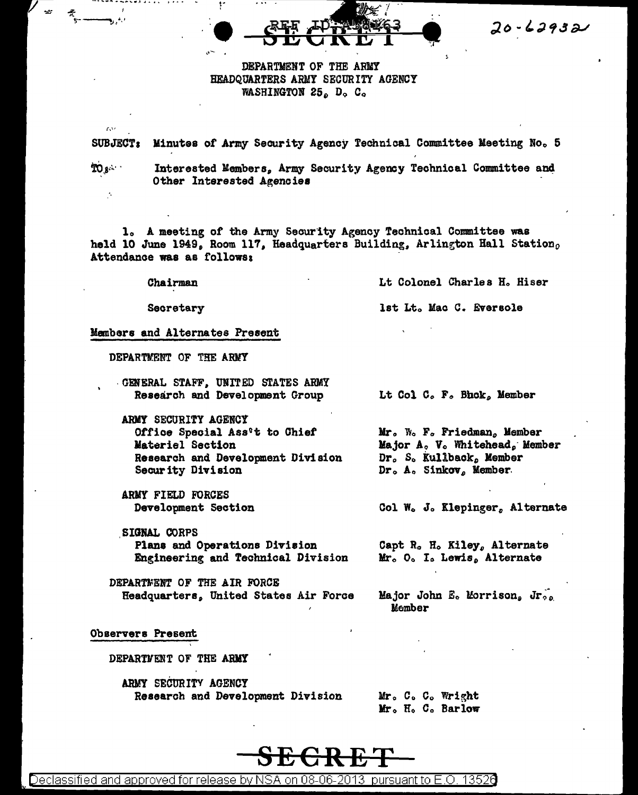$20 - 62932$ 

# DEPARTMENT OF THE ARMY HEADQUARTERS ARMY SECURITY AGENCY WASHINGTON 25. D. C.

SUBJECT: Minutes of Army Security Agency Technical Committee Meeting No. 5

້າດ ເ

 $\mathbf{r}$ 

Interested Members. Army Security Agency Technical Committee and Other Interested Agencies

1. A meeting of the Army Security Agency Technical Committee was held 10 June 1949, Room 117, Headquarters Building, Arlington Hall Station, Attendance was as follows:

Chairman

Lt Colonel Charles H. Hiser

lst Lt. Mac C. Eversole

Secretary

Members and Alternates Present

DEPARTMENT OF THE ARMY

- GENERAL STAFF, UNITED STATES ARMY Research and Development Group
- ARMY SECURITY AGENCY Office Special Ass't to Chief Materiel Section Research and Development Division Security Division
- ARMY FIELD FORCES Development Section
- **SIGNAL CORPS** Plans and Operations Division Engineering and Technical Division
- DEPARTMENT OF THE AIR FORCE Headquarters, United States Air Force

Lt Col C. F. Bhok, Member

Mr. W. F. Friedman, Member Major A, V. Whitehead, Member Dr. S. Kullback, Member Dr. A. Sinkov, Member.

Col W. J. Klepinger, Alternate

Capt R. H. Kiley, Alternate Mr. O. I. Lewis, Alternate

Major John E. Morrison, Jr., Member

Observers Present

DEPARTMENT OF THE ARMY

ARMY SECURITY AGENCY Research and Development Division

Mr. C. C. Wright Mr. H. C. Barlow



<u>Declassified and approved for release by NSA on 08-06-2013 pursuant to E.O. 13526</u>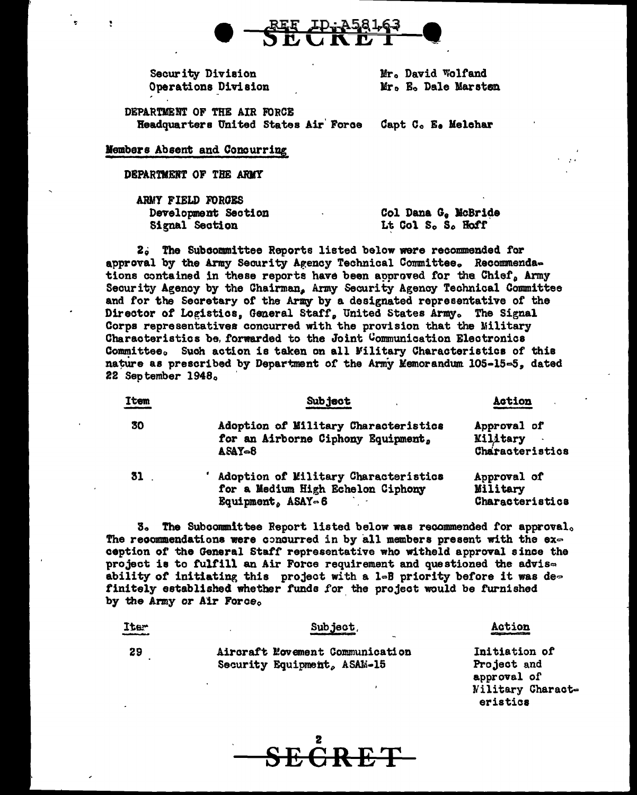

Security Division Operations Division Mr. David Wolfand Mr. E. Dale Marsten

DEPARTMENT OF THE AIR FORCE Headquarters United States Air Force Capt C. E. Melchar

Members Absent and Concurring

DEPARTMENT OF THE ARMY

ARMY FIELD FORGES Development Section Signal Section

Col Dana G. McBride Lt Col S. S. Hoff

2. The Subcommittee Reports listed below were recommended for approval by the Army Security Agency Technical Committee. Recommendations contained in these reports have been approved for the Chief, Army Security Agency by the Chairman, Army Security Agency Technical Committee and for the Secretary of the Army by a designated representative of the Director of Logistics, General Staff, United States Army. The Signal Corps representatives concurred with the provision that the Military Characteristics be forwarded to the Joint Communication Electronics Committee. Such action is taken on all Military Characteristics of this nature as prescribed by Department of the Army Memorandum 105-15-5, dated 22 September 1948.

| ltem | <b>Subject</b>                                                                                                                          | <b>Action</b>                                     |
|------|-----------------------------------------------------------------------------------------------------------------------------------------|---------------------------------------------------|
| 30   | Adoption of Military Characteristics<br>for an Airborne Ciphony Equipment,<br>$ASAY = 8$                                                | Approval of<br><b>Military</b><br>Characteristics |
| 31   | Adoption of Military Characteristics<br>for a Medium High Echelon Ciphony<br>$\text{Rout}$ $\text{mant}$ . $\text{ASAY} \circ \text{R}$ | Approval of<br>Military<br>Characteristica        |

3. The Subcommittee Report listed below was recommended for approval. The recommendations were concurred in by all members present with the ex $\sim$ ception of the General Staff representative who witheld approval since the project is to fulfill an Air Force requirement and questioned the advisability of initiating this project with a 1-B priority before it was definitely established whether funds for the project would be furnished by the Army or Air Force.

| Iter<br>والمترابط والمترابط | Subject.                                                       | Action<br>020100000000000000000000 |
|-----------------------------|----------------------------------------------------------------|------------------------------------|
| 29                          | Aircraft Movement Communication<br>Security Equipment, ASAM-15 | Initiation of<br>Project and       |
|                             |                                                                | approval of<br>Nilitary Charact-   |
|                             |                                                                | eristics                           |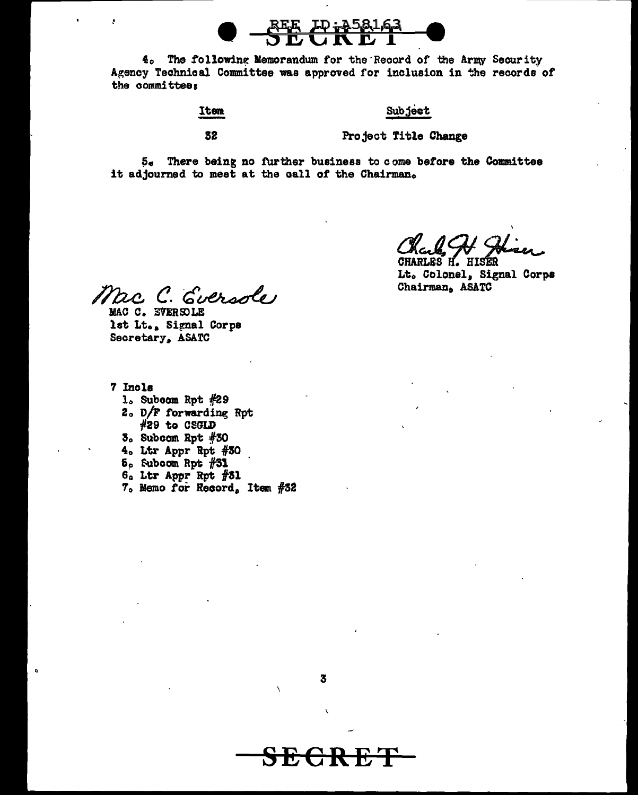4. The following Memorandum for the Record of the Army Security Agency Technical Committee was approved for inclusion in the records of the committee:

# Item

# Subject

32

Project Title Change

5. There being no further business to come before the Committee it adjourned to meet at the call of the Chairman.

Chal Chi CHARLES H. HISER

Lt. Colonel, Signal Corps Chairman, ASATC

Mac C. Eversole MAC C. EVERSOLE

lst Lt., Signal Corps Secretary, ASATC

7 Incls

ż

- 1. Subcom Rpt #29
- 2. D/F forwarding Rpt #29 to CSGLD
- $3.$  Subcom Rpt  $#30$
- 4. Ltr Appr Rpt #30
- $5<sub>e</sub>$  Subcom Rpt  $#31$
- $6a$  Ltr Appr Rpt  $#31$
- 7. Memo for Record, Item #32

3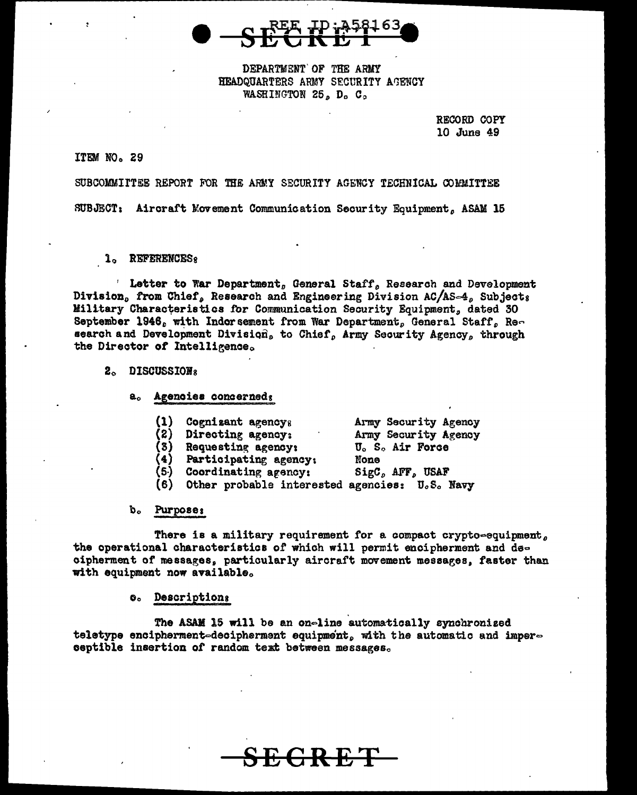DEPARTMENT OF THE ARMY HEADQUARTERS ARMY SECURITY AGENCY WASHINGTON 25, D. C.

> RECORD COPY 10 June 49

# ITEM NO. 29

SUBCOMMITTEE REPORT FOR THE ARMY SECURITY AGENCY TECHNICAL COMMITTEE

SUBJECT: Aircraft Movement Communication Security Equipment, ASAM 15

1. REFERENCES:

' Letter to War Department, General Staff, Research and Development Division, from Chief, Research and Engineering Division AC/AS-4, Subjects Military Characteristics for Communication Security Equipment, dated 30 September 1946, with Indorsement from War Department, General Staff, Research and Development Division, to Chief, Army Security Agency, through the Director of Intelligence.

#### 2. DISCUSSIONS

- a. Agencies concerned:
	- (1) Cognisant agencys Army Security Agency
	- Directing agency: Army Security Agency 2) U. S. Air Force
	- Requesting agency:  $\mathbf{3}$ 
		- Participating agency:  $(4)$
	- Coordinating agency: (5)
- None SigC, AFF, USAF
- $(6)$ Other probable interested agencies: U.S. Navy

# b. Purposes

There is a military requirement for a compact crypto-equipment, the operational characteristics of which will permit encipherment and decipherment of messages, particularly aircraft movement messages, faster than with equipment now available.

#### **O.** Descriptions

The ASAM 15 will be an on-line automatically synchronized teletype encipherment-decipherment equipment, with the automatic and imperceptible insertion of random text between messages.

<del>C R E T</del>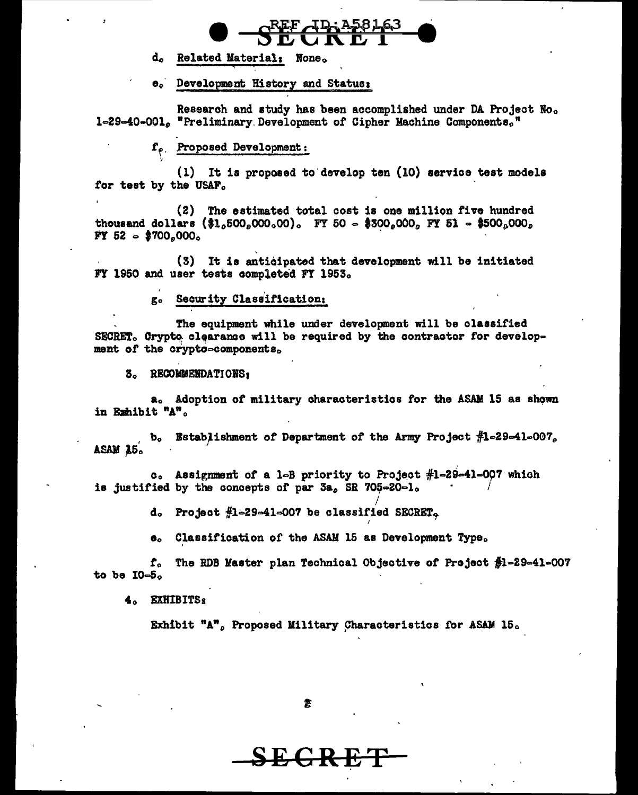

Related Material: None. d.

e. Development History and Status:

Research and study has been accomplished under DA Project No. 1-29-40-001. "Preliminary Development of Cipher Machine Components."

 $f_{\rho}$ . Proposed Development:

(1) It is proposed to develop ten (10) service test models for test by the USAF.

(2) The estimated total cost is one million five hundred thousand dollars  $(\$1,500,000,00)$ . FY 50 = \$300,000, FY 51 = \$500,000,  $FY 52 - $700.000$ 

(3) It is anticipated that development will be initiated FY 1950 and user tests completed FY 1953.

> Security Classification: g.

The equipment while under development will be classified SECRET. Crypto clearance will be required by the contractor for development of the crypto-components.

3. RECOMMENDATIONS:

a. Adoption of military characteristics for the ASAM 15 as shown in Exhibit "A".

Establishment of Department of the Army Project #1-29-41-007.  $\mathbf{b}_{\mathbf{c}}$ ASAM 25.

c. Assignment of a 1-B priority to Project #1-29-41-007 which is justified by the concepts of par 3a, SR 705-20-1.

d. Project #1-29-41-007 be classified SECRET.

Classification of the ASAM 15 as Development Type.  $\mathbf{e}_{\alpha}$ 

The RDB Master plan Technical Objective of Project \$1-29-41-007  ${\bf f}_{\alpha}$ to be  $10-5$ .

4. EXHIBITS8

Exhibit "A", Proposed Military Characteristics for ASAM 15.

<del>C K IC</del>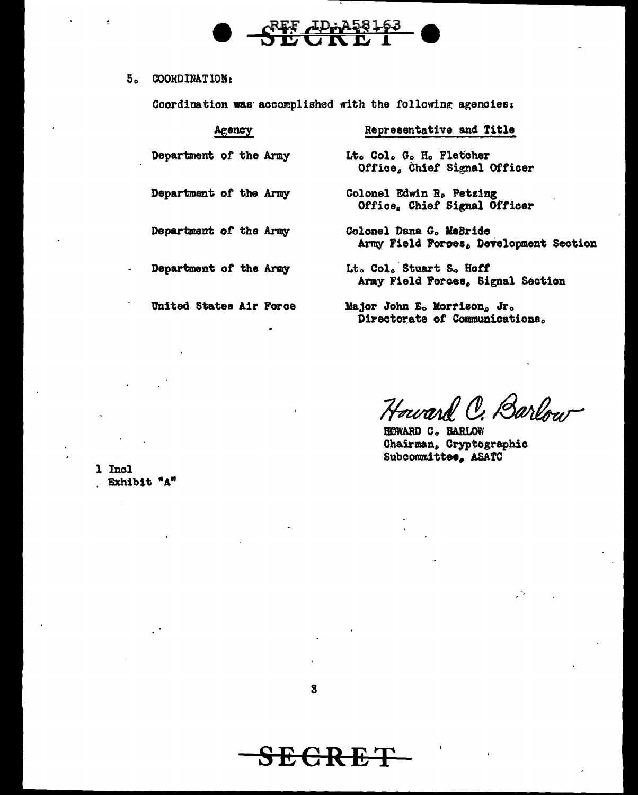# ADn

#### $5<sub>o</sub>$ COORDINATION:

Coordination was accomplished with the following agencies:

| Agency                  | Representative and Title                                          |
|-------------------------|-------------------------------------------------------------------|
| Department of the Army  | Lt. Col. G. H. Fletcher<br>Office, Chief Signal Officer           |
| Department of the Army  | Colonel Edwin R. Petzing<br>Office, Chief Signal Officer          |
| Department of the Army  | Colonel Dana G. MaBride<br>Army Field Forces, Development Section |
| Department of the Army  | Lt. Col. Stuart S. Hoff<br>Army Field Forces, Signal Section      |
| United States Air Force | Major John E. Morrison, Jr.<br>Directorate of Communications.     |

Howard C. Barlow

HOWARD C. BARLOW Chairman, Cryptographic Subcommittee, ASATC

1 Incl . Exhibit "A"

 $\overline{a}$ 

<del>SECRET</del>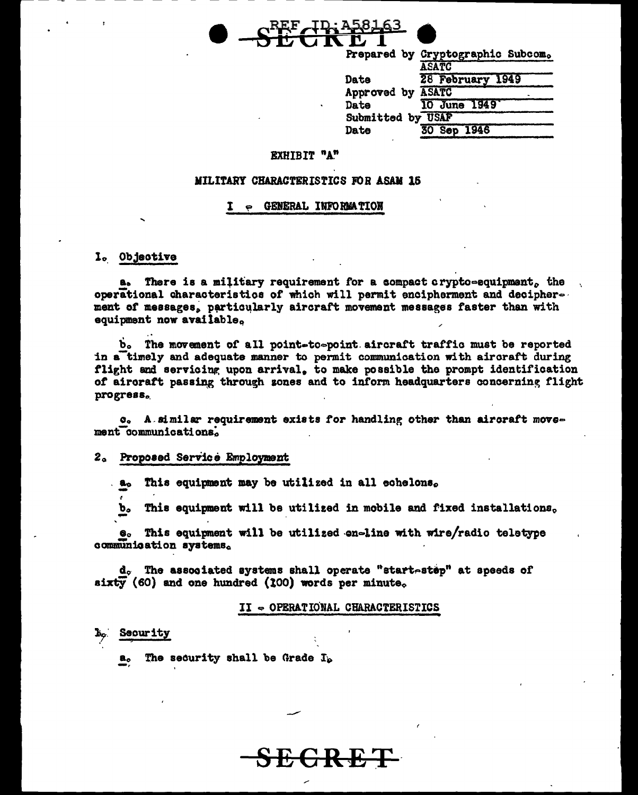

|                   | Prepared by Cryptographic Subcom. |
|-------------------|-----------------------------------|
|                   | <b>ASATC</b>                      |
| Date              | 28 February 1949                  |
| Approved by ASATC |                                   |
| Date              | 10 June 1949                      |
| Submitted by USAF |                                   |
| Date              | 30 Sep 1946                       |
|                   |                                   |

#### **EXHIBIT "A"**

#### MILITARY CHARACTERISTICS FOR ASAM 15

#### **GENERAL INFORMATION** T

1. Objective

a. There is a military requirement for a compact crypto-equipment, the operational characteristics of which will permit encipherment and decipherment of messages, particularly aircraft movement messages faster than with equipment now available.

b. The movement of all point-to-point aircraft traffic must be reported in a timely and adequate manner to permit communication with aircraft during flight and servicing upon arrival, to make possible the prompt identification of airoraft passing through sones and to inform headquarters concerning flight progress.

c. A similar requirement exists for handling other than aircraft movement communications.

#### 2. Proposed Service Employment

This equipment may be utilized in all echelons. a.

This equipment will be utilized in mobile and fixed installations. b.

This equipment will be utilized on-line with wire/radio teletype  $\mathbf{e}_\circ$ communication systems.

d. The associated systems shall operate "start-step" at speeds of sixty (60) and one hundred (100) words per minute.

#### II - OPERATIONAL CHARACTERISTICS

#### Security

The security shall be Grade  $I_p$  $\mathbf{a}_o$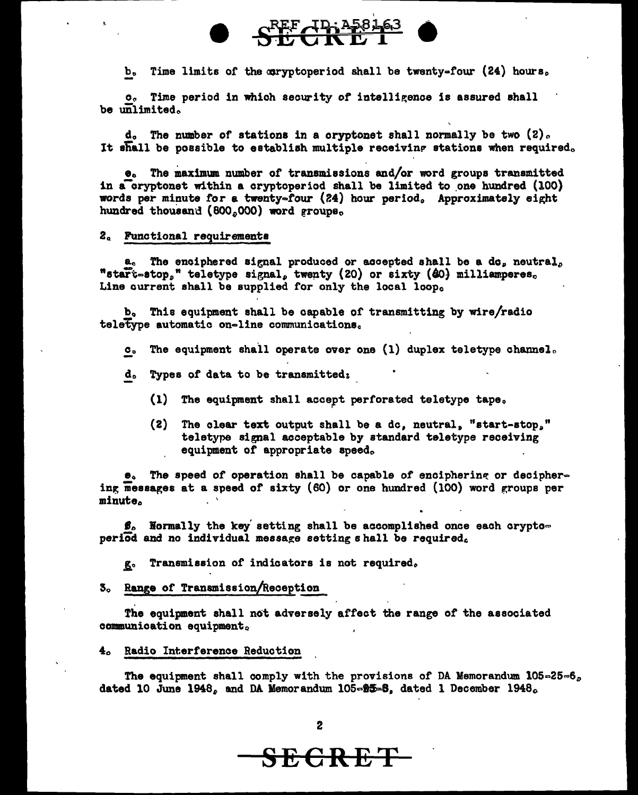

 $b_0$  Time limits of the coryptoperiod shall be twenty-four (24) hours,

 $c_{c}$  Time period in which security of intelligence is assured shall be unlimited.

d. The number of stations in a cryptonet shall normally be two  $(2)$ . It shall be possible to establish multiple receiving stations when required.

 $\bullet$ . The maximum number of transmissions and/or word groups transmitted in a cryptonet within a cryptoperiod shall be limited to one hundred  $(100)$ words per minute for a twenty=four (24) hour period。 Approximately eight hundred thousand  $(800,000)$  word groups.

# 2a Functional requirements

 $a_c$  The enciphered signal produced or accepted shall be a do<sub>p</sub> neutral<sub>o</sub> "start=stop," teletype signal, twenty (20) or sixty ( $60$ ) milliamperes. Line current shall be supplied for only the local loop.

b. This equipment shall be capable of transmitting by wire/radio teletype automatic on-line communications.

- $c<sub>o</sub>$  The equipment shall operate over one (1) duplex teletype channel.
- d. Types of data to be transmitted:
	- $(1)$  The equipment shall accept perforated teletype tape.
	- $(2)$  The clear text output shall be a dc, neutral, "start-stop." teletype signal acceptable by standard teletype receiving equipment of appropriate apeed.

 $e_0$  The speed of operation shall be capable of enciphering or deciphering messages at a speed of sixty  $(60)$  or one hundred  $(100)$  word groups per minute.

 $\beta$ . Normally the key setting shall be accomplished once each crypto= period and no individual message setting s hall be required.

g. Transmission of indicators is not required.

3. Range of Transmission/Reception

The equipment shall not adversely affect the range of the associated communication equipment.

4o Radio Interference Reduction

The equipment shall comply with the provisions of DA Memorandum  $105-25-6$ dated 10 June 1948, and DA Memorandum  $105~m$   $\frac{1}{2}$ . dated 1 December 1948.

**SECRET**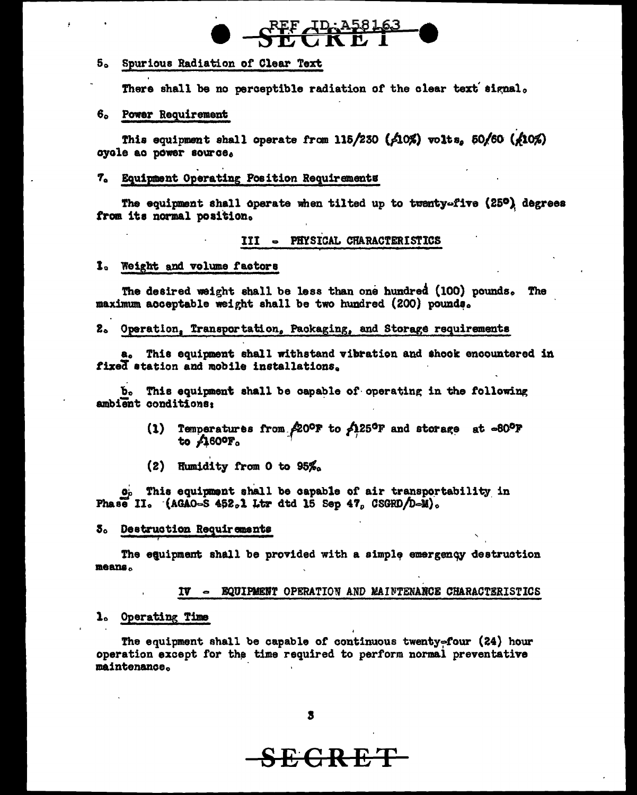# REF ID: A581

#### $5^{\circ}$ Spurious Radiation of Clear Text

There shall be no perceptible radiation of the clear text signal.

# 6. Power Requirement

This equipment shall operate from 115/230 ( $\angle$ 10%) volts, 50/60 ( $\angle$ 10%) oyole ac power source.

# 7. Equipment Operating Position Requirements

The equipment shall operate when tilted up to twenty-five (25º) degrees from its normal position.

# III - PHYSICAL CHARACTERISTICS

### I. Weight and volume factors

The desired weight shall be less than one hundred (100) pounds. The maximum acceptable weight shall be two hundred (200) pounds.

#### 2. Operation, Transportation, Packaging, and Storage requirements

a. This equipment shall withstand vibration and shock encountered in fixed station and mobile installations.

b. This equipment shall be capable of operating in the following ambient conditions:

- Temperatures from  $/20^{\circ}$  to  $/25^{\circ}$  and storage at -80°F  $(1)$ to  $\triangle$ 80°F<sub>o</sub>
- (2) Humidity from 0 to  $95\%$ .

o<sub>p</sub> This equipment shall be capable of air transportability in Phase II.  $(AGAO-S 452.1$  Ltr dtd 15 Sep 47, CSGRD/D-M).

# 3. Destruction Requirements

The equipment shall be provided with a simple emergency destruction means.

IV - EQUIPMENT OPERATION AND MAINTENANCE CHARACTERISTICS

#### 1. Operating Time

The equipment shall be capable of continuous twenty=four (24) hour operation except for the time required to perform normal preventative maintenance.

# **SEGRET**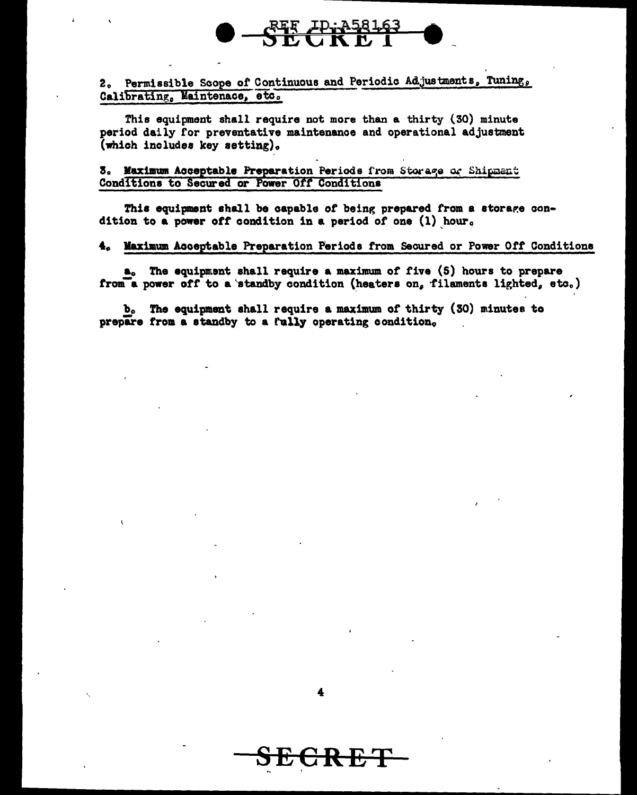# 2. Permissible Scope of Continuous and Periodic Adjustments, Tuning, Calibrating, Maintenace, etc.

This equipment shall require not more than a thirty (30) minute period daily for preventative maintenance and operational adjustment (which includes key setting).

# 3. Maximum Acceptable Preparation Periods from Storage of Shipment Conditions to Secured or Power Off Conditions

This equipment shall be capable of being prepared from a storage condition to a power off condition in a period of one  $(1)$  hour.

# 4. Maximum Acceptable Preparation Periods from Secured or Power Off Conditions

a. The equipment shall require a maximum of five (5) hours to prepare from a power off to a standby condition (heaters on, filaments lighted, etc.)

b. The equipment shall require a maximum of thirty (30) minutes to prepare from a standby to a fully operating condition.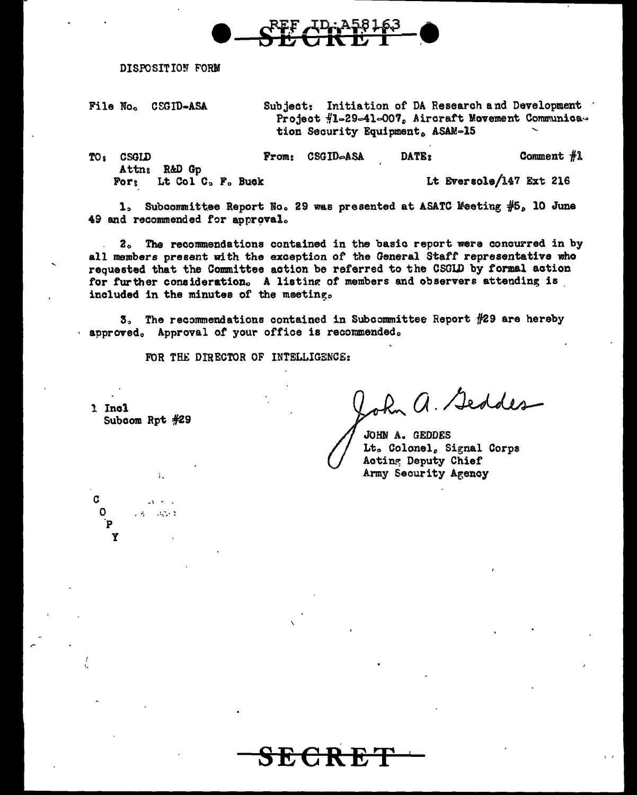

DISPOSITION FORM

File No. CEGID-ASA

Subject: Initiation of DA Research and Development Project #1-29-41-007, Aircraft Movement Communica. tion Security Equipment, ASAM-15

TO: CSGID From: CSGID-ASA DATE: Comment  $#1$ Attn: R&D Gp Lt Eversole/147 Ext 216 Lt Col C<sub>p</sub> F<sub>c</sub> Buck  $For  $5$$ 

1. Subcommittee Report No. 29 was presented at ASATC Meeting #5. 10 June 49 and recommended for approval.

2. The recommendations contained in the basic report were concurred in by all members present with the exception of the General Staff representative who requested that the Committee action be referred to the CSGLD by formal action for further consideration. A listing of members and observers attending is included in the minutes of the meeting.

3. The recommendations contained in Subcommittee Report #29 are hereby approved. Approval of your office is recommended.

FOR THE DIRECTOR OF INTELLIGENCE:

1 Incl Subcom Rpt #29

 $\mathbf{d}$ 

 $\mathbf{v}$ 

à.

 $-1.7 - 2$ 

John a. Seddes

**JOHN A. GEDDES** Lt. Colonel, Signal Corps Acting Deputy Chief Army Security Agency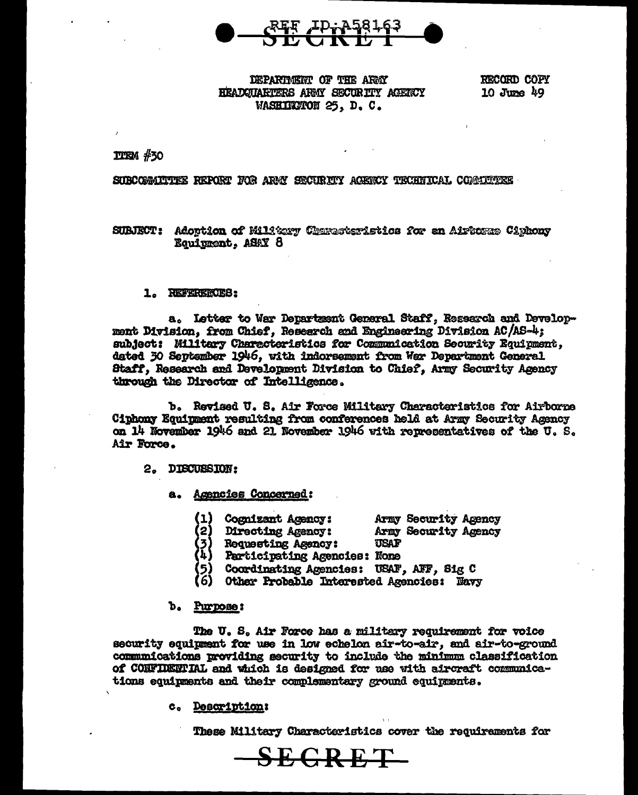

# DEPARTMENT OF THE ARMY HEADGUARTERS ARMY SECURITY AGENCY WASHIKNON 25, D.C.

RECORD COPY 10 June  $49$ 

 $TITEN$   $#30$ 

# SUBCOMMUTTEE REPORT FOR ARMY SECURITY AGENCY TECHNICAL COMMUTTEE

SUBJECT: Adoption of Miltery Characteristics for an Airborne Ciphony Equipment, ASAY 8

#### 1. REFERENCES:

a. Letter to War Department General Staff, Research and Development Division, from Chief, Research and Enginearing Division AC/AS-4; subject: Military Characteristics for Communication Security Equipment, dated 30 September 1946, with indorsement from War Department General Staff, Research and Development Division to Chief, Army Security Agency through the Director of Intelligence.

b. Revised U. S. Air Force Military Characteristics for Airborne Ciphony Equipment resulting from conferences held at Army Security Agency on 14 November 1946 and 21 November 1946 with representatives of the U.S. Air Force.

**DIBCUBSION:**  $2.$ 

# a. Agencies Concerned:

- (1) **Cognizant Agency:**
- Army Security Agency Army Security Agency
	- Directing Agency: USAF
- **Requesting Agency:**
- Participating Agencies: None
- Coordinating Agencies: USAF, AFF, Sig C
- Other Probable Interested Agencies: Navy

#### b. Purpose:

(2)

The U.S. Air Force has a military requirement for voice security equipment for use in low echelon air-to-air, and air-to-ground communications providing security to include the minimum classification of CONFIDENTIAL and which is designed for use with aircraft communications equipments and their complementary ground equipments.

SECRET–

#### c. Description:

These Military Characteristics cover the requirements for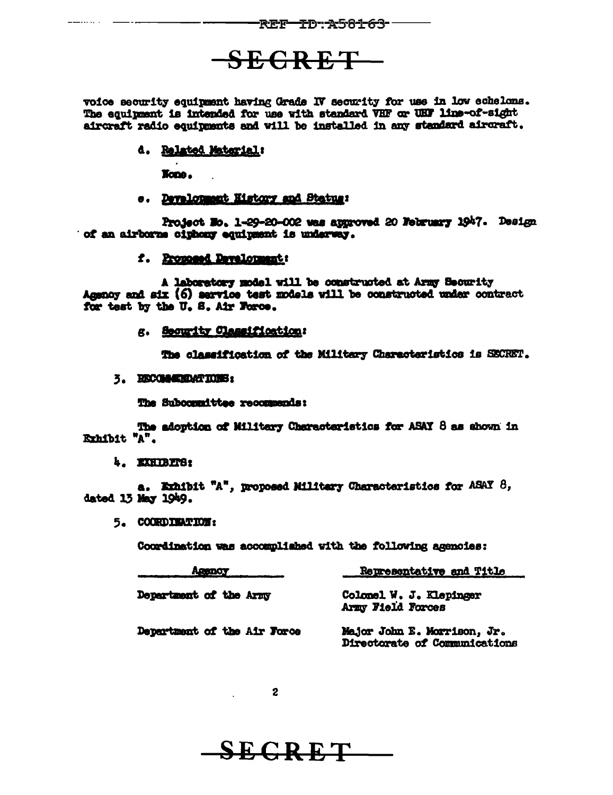# SEGRET-

voice security equipment having Grade IV security for use in low echelons. The equipment is intended for use with standard VHF or UHF line-of-sight aircraft radio equipments and will be installed in any standard aircraft.

# d. Related Material:

None.

# e. Development History and Status:

Project No. 1-29-20-002 was approved 20 Nebruary 1947. Design of an airborne ciphony equipment is underway.

# f. Proposed Development:

A laboratory model will be constructed at Army Security Agency and six (6) service test models will be constructed under contract for test by the U. S. Air Force.

# g. Security Classification:

The classification of the Military Characteristics is SECRET.

# 3. RECOMMENDATIONS:

The Subcommittee recommends:

The adoption of Military Characteristics for ASAY 8 as shown in Exhibit "A".

# 4. EXHIBITS:

a. Exhibit "A", proposed Military Characteristics for ASAY  $\beta$ , dated 13 May 1949.

5. COORDINATION:

Coordination was accomplished with the following agencies:

| Agency                      | Representative and Title                                     |  |
|-----------------------------|--------------------------------------------------------------|--|
| Department of the Army      | Colonel W. J. Klepinger<br>Army Field Forces                 |  |
| Department of the Air Force | Major John E. Morrison, Jr.<br>Directorate of Communications |  |

 $\sim$  2

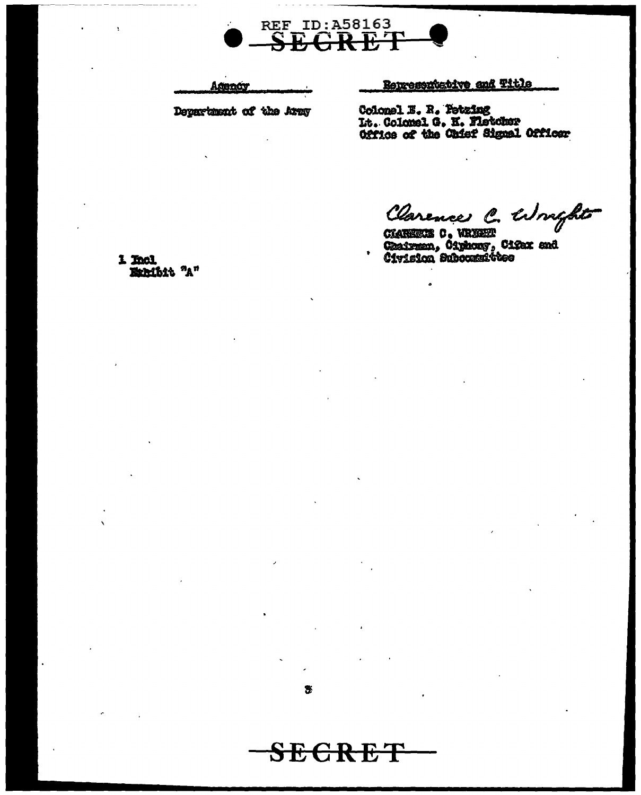

Acency

Department of the Army

# Representative and Title

Colonel E. R. Petzing It. Colomel G. K. Fletcher<br>Office of the Chief Signal Officer

Clarence C. Wright

CHARRICE C. WRYSET<br>Chairman, Čiyhony, Ciýaz and<br>Čivision Subocatnittes

1 Incl Exhibit "A"

S

 ${\bf SEGREF}$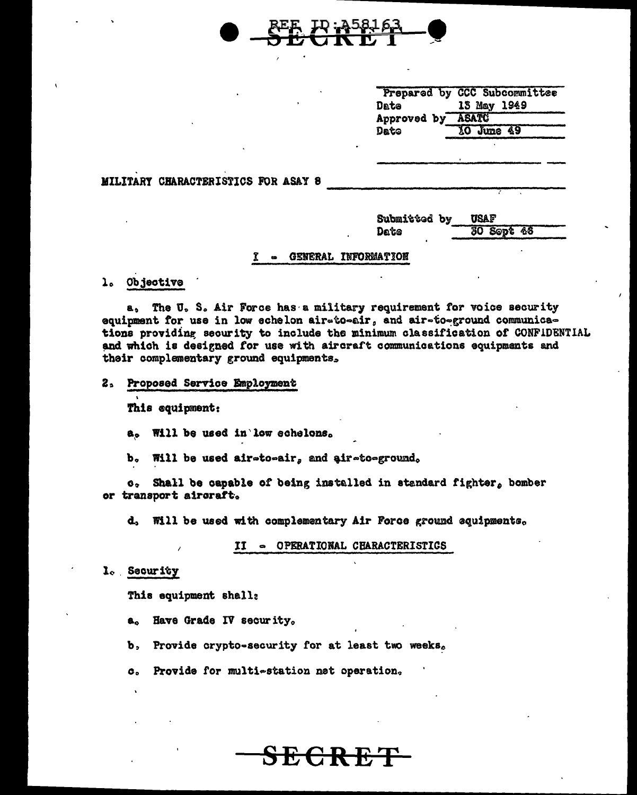

| 13 May 1949       |
|-------------------|
|                   |
| Approved by ASATC |
| 10 June 49        |
|                   |

MILITARY CHARACTERISTICS FOR ASAY 8

| Submitted by | <b>USAF</b> |         |
|--------------|-------------|---------|
| Date         |             | 30 Sept |

48

#### GENERAL INFORMATION  $\mathbf x$

1. Objective

The U.S. Air Force has a military requirement for voice security  $a<sub>0</sub>$ equipment for use in low echelon air-to-air, and air-to-ground communications providing security to include the minimum classification of CONFIDENTIAL and which is designed for use with aircraft communications equipments and their complementary ground equipments,

 $2<sub>s</sub>$ Proposed Service Employment

This equipment:

a. Will be used in low echelons.

b. Will be used air-to-air, and air-to-ground.

Shall be capable of being installed in standard fighter, bomber  $\mathbf{c}$ . or transport aircraft.

d. Will be used with complementary Air Force ground equipments.

II - OPERATIONAL CHARACTERISTICS

<del>CR E</del>

l. Security

This equipment shall:

a. Have Grade IV security.

b. Provide crypto-security for at least two weeks.

Provide for multi-station net operation.  $\alpha$ .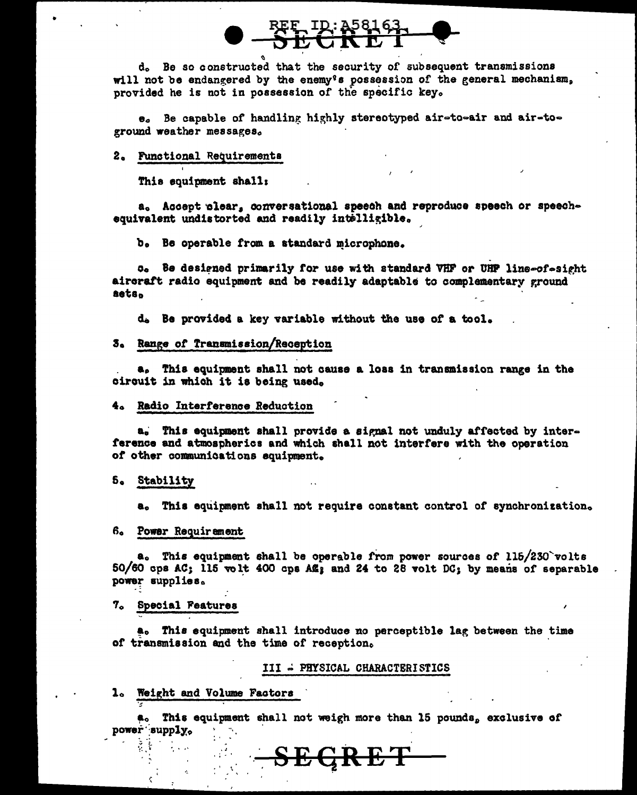d. Be so constructed that the security of subsequent transmissions will not be endangered by the enemy's possession of the general mechanism, provided he is not in possession of the specific key.

e. Be capable of handling highly stereotyped air-to-air and air-toground weather messages.

# 2. Functional Requirements

This souinment shall:

a. Accept clear, conversational speech and reproduce speech or speechequivalent undistorted and readily intelligible.

b. Be operable from a standard microphone.

o. Be designed primarily for use with standard VHF or UHF line-of-sight aircraft radio equipment and be readily adaptable to complementary ground aets.

d. Be provided a key variable without the use of a tool.

#### 3. Range of Transmission/Reception

a. This equipment shall not cause a loss in transmission range in the circuit in which it is being used.

#### 4. Radio Interference Reduction

a. This equipment shall provide a signal not unduly affected by interference and atmospherics and which shall not interfere with the operation of other communications squipment.

#### 5. Stability

a. This equipment shall not require constant control of synchronization.

# 6. Power Requirement

a. This equipment shall be operable from power sources of 115/230 volts 50/60 cps AC; 115 volt 400 cps AL; and 24 to 28 volt DC; by means of separable power supplies.

#### 7. Special Features

a. This equipment shall introduce no perceptible lag between the time of transmission and the time of reception.

#### III = PHYSICAL CHARACTERISTICS

#### 1. Weight and Volume Factors

a. This equipment shall not weigh more than 15 pounds, exclusive of power supply.

<del>SEGRET</del>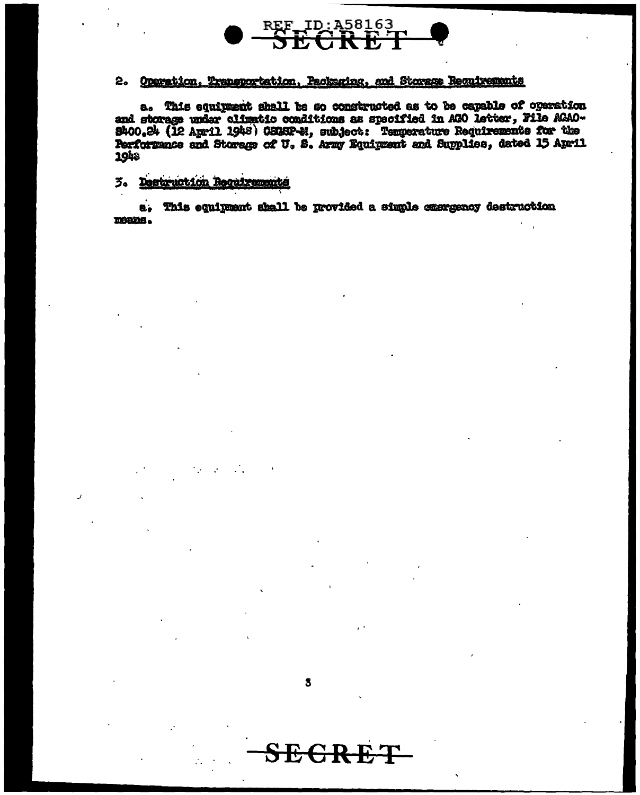

# 2. Operation, Transportation, Packaging, and Storage Requirements

a. This equipment shall be so constructed as to be capable of operation and storage under climatic conditions as specified in AGO letter, File AGAO-8400.24 (12 April 1948) OSCRP-M, subject: Temperature Requirements for the Performance and Storage of U.S. Army Equipment and Supplies, dated 15 April 1948

# 3. Destruction Requirements

a. This equipment shall be provided a simple exergency destruction means.

3

**SEGR**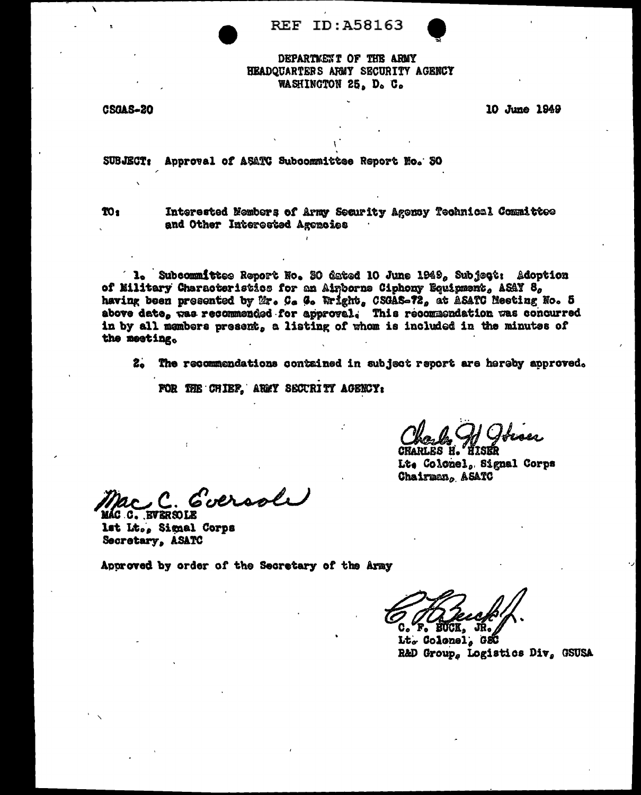**REF ID: A58163** 

# DEPARTMENT OF THE ARMY HEADOUARTERS ARMY SECURITY AGENCY WASHINGTON 25, D. C.

**CSGAS-20** 

10 June 1949

SUBJECT: Approval of ASATC Subcommittee Report No. 30

TO<sub>1</sub>

Interested Members of Army Security Agency Technical Committee and Other Interested Agencies

**1.** Subcommittee Report No. 30 dated 10 June 1949, Subject: Adoption of Military Characteristics for an Airborne Ciphony Equipment, ASAY 8, having been presented by Mr. C. G. Wright, CSGAS-72, at ASATC Meeting No. 5 above date, was recommended for approval. This recommendation was concurred in by all members present, a listing of whom is included in the minutes of the meeting.

2. The recommendations contained in subject report are hereby approved.

FOR THE CHIEF. ARMY SECURITY AGENCY:

. If Joiser **HTSKR** 

CHARLES H. Lt. Colonel, Signal Corps Chairman, ASATC

Coeroole

MÁC C. BVERSOLE lat Lt., Signal Corps Secretary, ASATC

Approved by order of the Secretary of the Army

**F. EUCK.** 

Lt. Colonel. GSC R&D Group, Logistics Div, GSUSA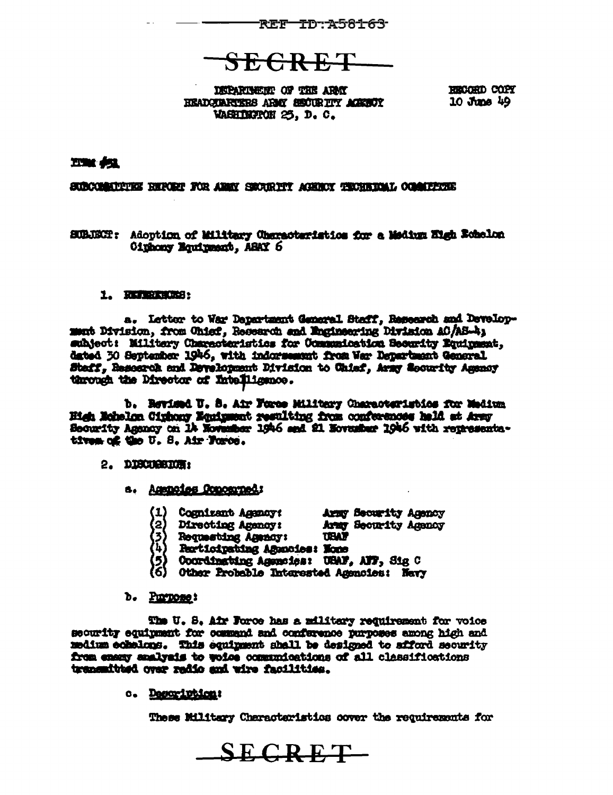

**SEGRET** 

**DREARTMENT OF THE ARMY** HEADCARTERS ARMY SECURITY ACREOT WASHINGTON 25, D.C.

RECORD COPY 10 June 49

# **ETAK OSA**

SUBCOMMUNIKE REPORT FOR ANNY SECURITY AGENCY TECHNICAL COMMUNIE

SUBJECH: Adoption of Military Characteristics for a Medium Eigh Echelon Oinhony Equipment, ASAY 6

# 1. REFERENCES:

a. Letter to War Dapartment General Staff, Research and Development Division, from Chief, Research and Engineering Division AC/AS-4; subject: Military Characteristics for Communication Security Equipment, dated 30 September 1946, with indorsement from Wer Department General Staff, Research and Development Division to Chief, Army Geourity Ammay through the Director of Intelligence.

b. Revised U. S. Air Force Military Characteristics for Medium High Echalon Cinhony Equipment resulting from conferences hald at Army Security Agency on 14 November 1946 and 21 November 1946 with representatives of the U.S. Air Force.

# 2. DISCUSSION:

- a. Agencies Concerned:
	- Cognizant Agency: Army Security Agency<br>Directing Agency: Army Security Agency<br>Requesting Agency: USAF
	- -
	- **Participating Agencies: None**
	- Coordinating Agencies: USAF, AFF, Sig C
	- Other Probable Interested Agencies: Navy
- b. Purpose:

The U. S. Air Force has a military requirement for voice security equipment for commend and conference purposes among high and medium echalons. This equipment shall be designed to afford security from enemy analysis to woice communications of all classifications transmitted over radio and wire facilities.

c. Description:

These Military Characteristics cover the requirements for

 $SECRET$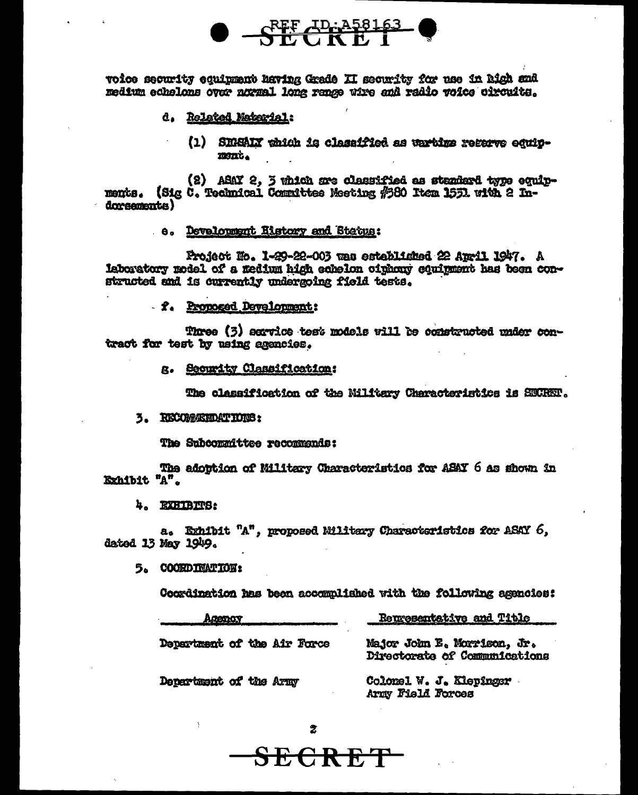

voice security equipment having Grade II security for use in high and medium echelons over normal long range wire and radio voice circuits.

- d. Related Material:
	- (1) SHEAIN which is classified as wartime regarve equipment.

(2) ABAY 2, 3 which are classified as standard type equip-(Sig C. Technical Committee Meeting #880 Item 1531 with 2 Inments. dorsements)

# e. Development Ristory and Status:

Project Ho. 1-29-22-003 was established 22 Auril 1947. A laboratory model of a medium high echelon ciphony equipment has been constructed and is currently undergoing field tests.

- f. Proposed Development:

Three (3) service test models will be constructed under contract for test by using agencies.

g. Security Classification:

The classification of the Nilitary Characteristics is SECRET.

3. RECORDERDATIONS:

The Subcommittee recommends:

The adoption of Military Characteristics for ASAY 6 as shown in Exhibit "A".

4. EXHIBITS:

a. Exhibit "A", proposed Military Characteristics for ASAY 6, dated 13 May 1949.

 $\overline{z}$ 

ECRET

5. COORDINATION:

Coordination has been accommlished with the following agencies:

| Agency                      | Representative and Title                                     |
|-----------------------------|--------------------------------------------------------------|
| Department of the Air Force | Major John E. Morrison, Jr.<br>Directorate of Communications |
| Department of the Army      | Colomel W. J. Klepingsr<br>Army Field Forces                 |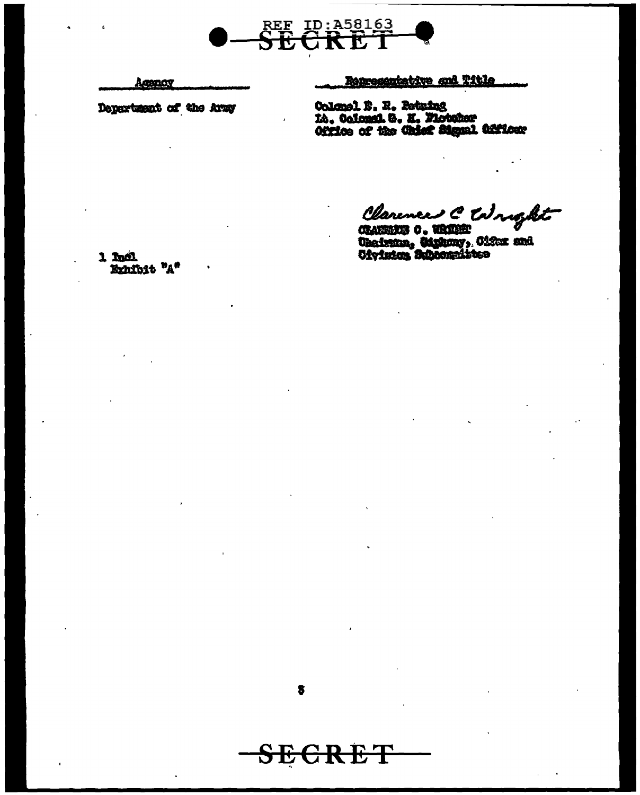

Agency

Department of the Army

Representative and Title

Colonel B. R. Retuing<br>Lt. Colonni. G. H. Fistoker<br>Office of the Chief Signal Officer

Clarence C Wright

Charlesky o. Whiteh Williams

1 Incl. Exhibit "A"

 $\bullet$ 

<del>SECRET</del>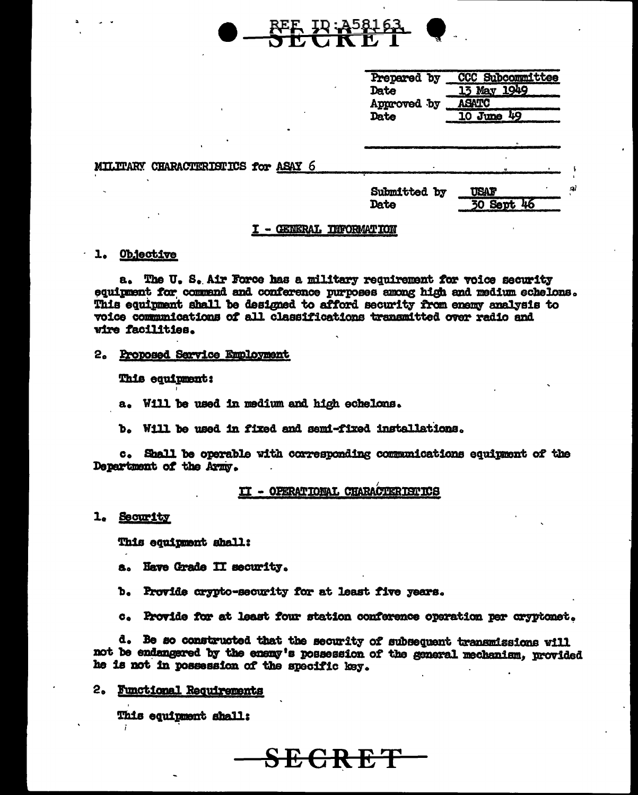|                                     | CCC Subcommittee<br>Prepared by<br>13 May 1949<br>Date<br><b>ASATC</b><br>Approved by<br>10 June 49<br>Date |  |
|-------------------------------------|-------------------------------------------------------------------------------------------------------------|--|
| MILTTARY CHARACTERISTICS for ASAY 6 |                                                                                                             |  |
|                                     | Submitted by<br>USAF<br><b>30 Sept 46</b><br>Date                                                           |  |

**REF. ID: A5816** 

### I - GENERAL INFORMATION

#### 1. Objective

a. The U.S. Air Force has a military requirement for voice security equipment for commend and conference purposes among high and medium echelons. This equipment shall be designed to afford security from enemy analysis to voice communications of all classifications transmitted over radio and vire facilities.

#### 2. Proposed Sarvice Employment

This equipment:

a. Will be used in medium and high echelons.

b. Will be used in fixed and semi-fixed installations.

c. Shall be operable with corresponding communications equipment of the Department of the Army.

# II - OPERATIONAL CHARACTERISTICS

### 1. Security

This equipment shall:

- a. Have Grade II security.
- b. Provide crypto-security for at least five years.
- Provide for at least four station conference operation per cryptonet.  $\mathbf{c}_{\bullet}$

d. Be so constructed that the security of subsequent transmissions will not be endangered by the enemy's possession of the general mechanism, provided he is not in possession of the specific key.

<del>SECRET</del>

#### 2. Functional Requirements

This equipment shall: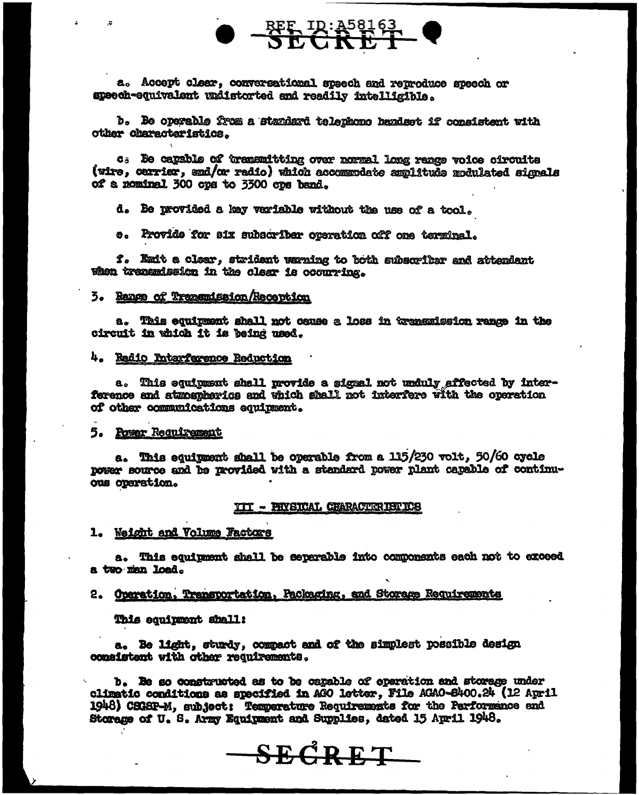

a. Accept clear, conversational speech and reproduce speech or speech-equivalent undistorted and readily intelligible.

b. Be operable from a standard telephone handset if consistent with other characteristics.

c. Be capable of transmitting over normal long renge voice circuits (wire, carrier, and/or radio) which accommodate amplitude modulated signals of a nominal 300 cps to 3300 cps hand.

d. Be provided a key variable without the use of a tool.

e. Provide for six subscriber operation off one terminal.

f. Emit a clear, strident warning to both subscriber and attendant when transmission in the clear is occurring.

# 3. Range of Transmission/Reception

a. This equipment shall not ceuse a loss in transmission range in the circuit in which it is being used.

# 4. Radio Intarfarence Reduction

a. This equipment shall provide a signal not unduly affected by interference and atmospherics and which shall not interfere with the operation of other communications equipment.

# 5. Power Requirement

a. This equipment shall be operable from a 115/230 volt, 50/60 cycle power source and be provided with a standard power plant capable of continuous operation.

#### III - PHYSICAL CHARACTERISTICS

1. Weight and Volume Factors

a. This equipment shall be separable into components each not to exceed a two man load.

2. Operation, Transportation, Packaging, and Storage Requirements

This equipment shall:

a. Be light, sturdy, compact and of the simplest possible design consistent with other requirements.

b. Be so constructed as to be capable of operation and storage under climatio conditions as specified in AGO letter, File AGAO-8400.24 (12 April 1948) CSGSP-M, subject: Temperature Requirements for the Performance and Storage of U. S. Army Equipment and Supplies, dated 15 April 1948.

**SEGRET**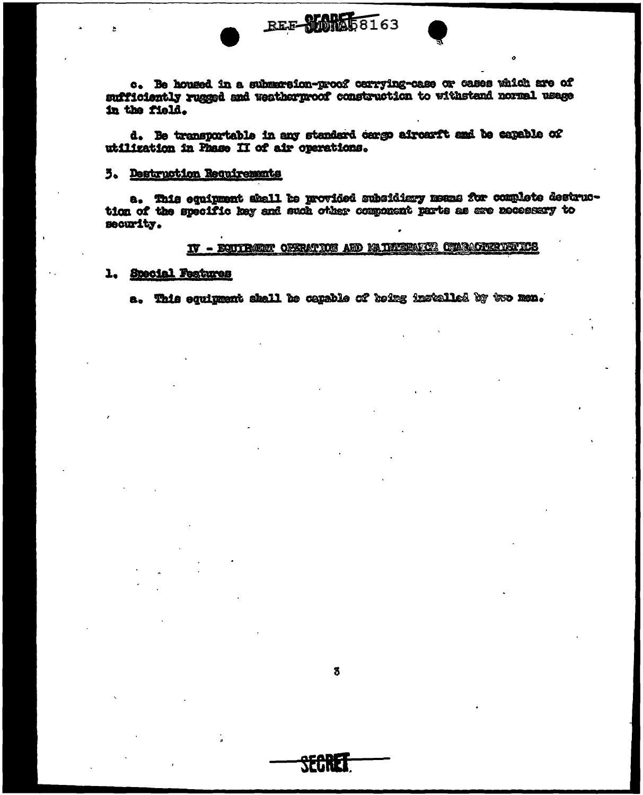

c. Be housed in a submersion-proof carrying-case or cases which are of sufficiently rugged and weatherproof construction to withstand normal usage in the field.

REE SMAR58163

d. Be transportable in any standard cargo aircarft and be capable of utilization in Fhase II of air operations.

#### 5. Destruction Requirements

a. This equipment shall be provided subsidiary means for complete destruction of the specific key and such other component parts as are necessary to security.

# IV - EQUIPMENT OFSRATION AND MAINTENANCE CHARACTERIZATIOS

# 1. Special Features

a. This equipment shall be capable of being installed by two men.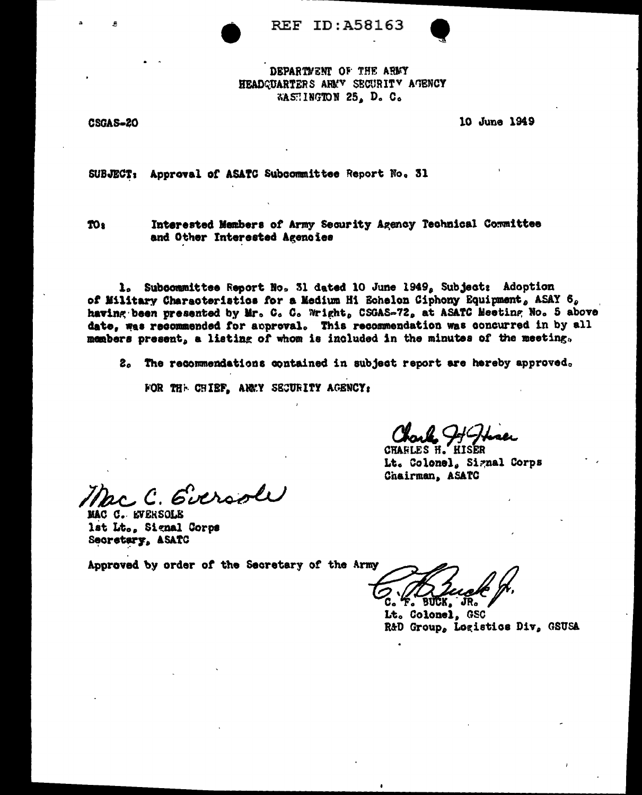



WASHINGTON 25, D. C.

CSGAS-20

10 June 1949

SUBJECT: Approval of ASATC Subcommittee Report No. 31

TO:

Interested Members of Army Security Agency Technical Committee and Other Interested Agenoies

1. Subcommittee Report No. 31 dated 10 June 1949, Subject: Adoption of Military Characteristics for a Medium Hi Echelon Ciphony Equipment, ASAY 6, having been presented by Mr. C. C. Wright, CSGAS-72, at ASATC Meeting No. 5 above date, was recommended for approval. This recommendation was concurred in by all members present, a listing of whom is included in the minutes of the meeting.

2. The recommendations contained in subject report are hereby approved.

FOR THE CHIEF, ARMY SECURITY AGENCY:

Charle Hothsen

**HISER** CHARLES H. Lt. Colonel, Signal Corps Chairman, ASATC

.C. Eversole

MAC C. EVERSOLE lst Lt., Signal Corps Secretary, ASATC

Approved by order of the Secretary of the Army

riick .

Lt. Colonel. GSC R&D Group, Logistics Div, GSUSA